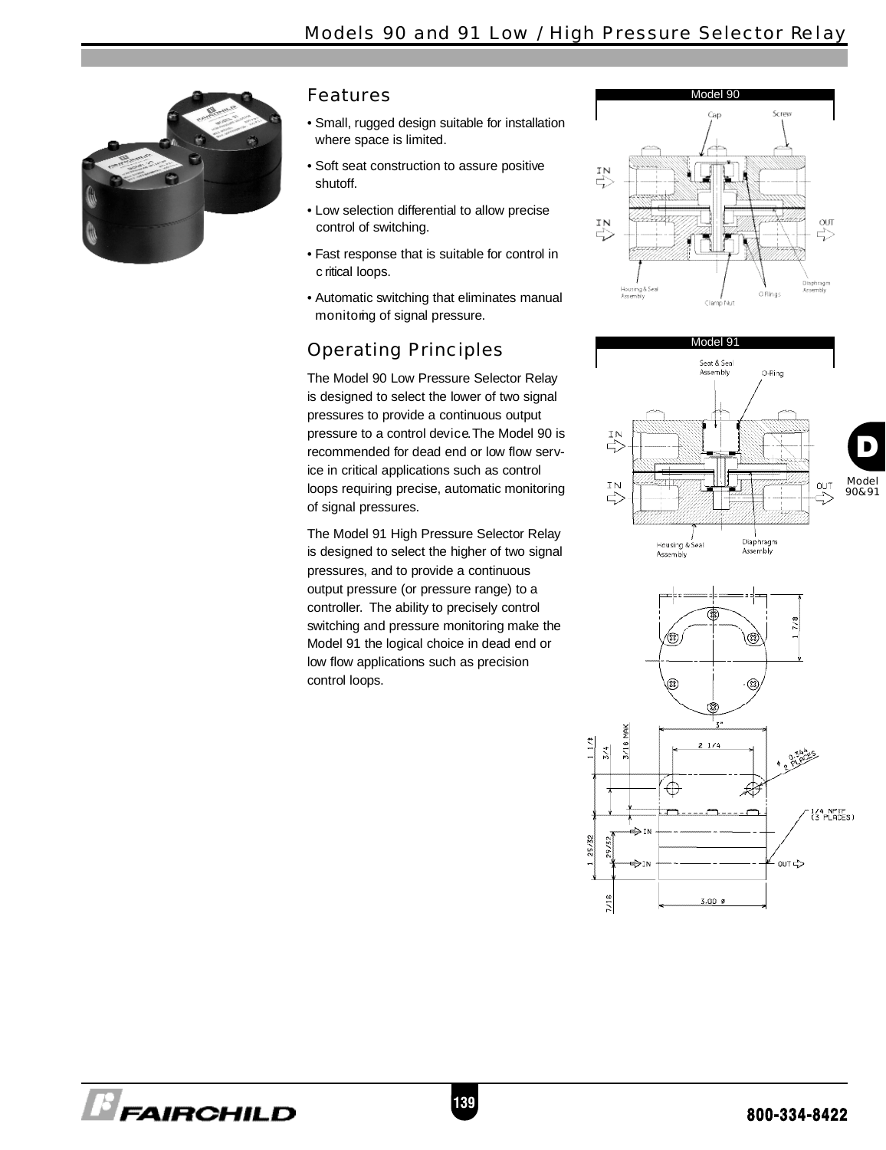

#### Features

- Small, rugged design suitable for installation where space is limited.
- Soft seat construction to assure positive shutoff.
- Low selection differential to allow precise control of switching.
- Fast response that is suitable for control in c ritical loops.
- Automatic switching that eliminates manual monitorng of signal pressure.

# Operating Principles

The Model 90 Low Pressure Selector Relay is designed to select the lower of two signal pressures to provide a continuous output pressure to a control device. The Model 90 is recommended for dead end or low flow service in critical applications such as control loops requiring precise, automatic monitoring of signal pressures.

The Model 91 High Pressure Selector Relay is designed to select the higher of two signal pressures, and to provide a continuous output pressure (or pressure range) to a controller. The ability to precisely control switching and pressure monitoring make the Model 91 the logical choice in dead end or low flow applications such as precision control loops.